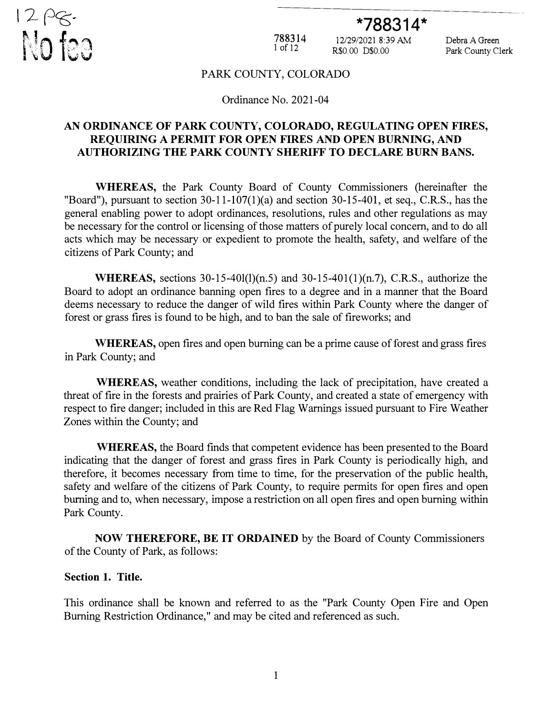

# **\*788314\***

788314 1 of 12

12/29/2021 8:39 AM Debra A Green R\$0.00 D\$0.00 Park County Clerk

#### PARK COUNTY, COLORADO

#### Ordinance No. 2021-04

#### **AN ORDINANCE OF PARK COUNTY, COLORADO, REGULATING OPEN FIRES, REQUIRING A PERMIT FOR OPEN FIRES AND OPEN BURNING, AND AUTHORIZING THE PARK COUNTY SHERIFF TO DECLARE BURN BANS.**

**WHEREAS,** the Park County Board of County Commissioners (hereinafter the "Board"), pursuant to section  $30-11-107(1)(a)$  and section  $30-15-401$ , et seq., C.R.S., has the general enabling power to adopt ordinances, resolutions, rules and other regulations as may be necessary for the control or licensing of those matters of purely local concern, and to do all acts which may be necessary or expedient to promote the health, safety, and welfare of the citizens of Park County; and

**WHEREAS,** sections 30-15-40l(l)(n.5) and 30-15-401(1)(n.7), C.R.S., authorize the Board to adopt an ordinance banning open fires to a degree and in a manner that the Board deems necessary to reduce the danger of wild fires within Park County where the danger of forest or grass fires is found to be high, and to ban the sale of fireworks; and

**WHEREAS,** open fires and open burning can be a prime cause of forest and grass fires in Park County; and

**WHEREAS,** weather conditions, including the lack of precipitation, have created a threat of fire in the forests and prairies of Park County, and created a state of emergency with respect to fire danger; included in this are Red Flag Warnings issued pursuant to Fire Weather Zones within the County; and

**WHEREAS,** the Board finds that competent evidence has been presented to the Board indicating that the danger of forest and grass fires in Park County is periodically high, and therefore, it becomes necessary from time to time, for the preservation of the public health, safety and welfare of the citizens of Park County, to require permits for open fires and open burning and to, when necessary, impose a restriction on all open fires and open burning within Park County.

**NOW THEREFORE, BE IT ORDAINED** by the Board of County Commissioners of the County of Park, as follows:

#### **Section 1. Title.**

This ordinance shall be known and referred to as the "Park County Open Fire and Open Burning Restriction Ordinance," and may be cited and referenced as such.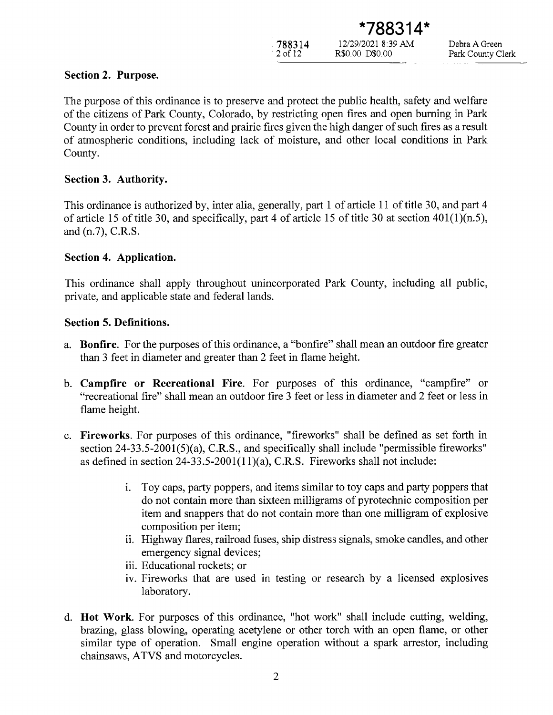788314  $2$  of  $12$ 

12/29/2021 8:39 AM

R\$0.00 D\$0.00

Debra A Green Park County Clerk

# Section 2. Purpose.

The purpose of this ordinance is to preserve and protect the public health, safety and welfare of the citizens of Park County, Colorado, by restricting open fires and open burning in Park County in order to prevent forest and prairie fires given the high danger of such fires as a result of atmospheric conditions, including lack of moisture, and other local conditions in Park County.

# Section 3. Authority.

This ordinance is authorized by, inter alia, generally, part 1 of article 11 of title 30, and part 4 of article 15 of title 30, and specifically, part 4 of article 15 of title 30 at section  $401(1)(n.5)$ , and (n.7), C.R.S.

# Section 4. Application.

This ordinance shall apply throughout unincorporated Park County, including all public, private, and applicable state and federal lands.

# **Section 5. Definitions.**

- a. **Bonfire.** For the purposes of this ordinance, a "bonfire" shall mean an outdoor fire greater than 3 feet in diameter and greater than 2 feet in flame height.
- b. Campfire or Recreational Fire. For purposes of this ordinance, "campfire" or "recreational fire" shall mean an outdoor fire 3 feet or less in diameter and 2 feet or less in flame height.
- c. Fireworks. For purposes of this ordinance, "fireworks" shall be defined as set forth in section 24-33.5-2001(5)(a), C.R.S., and specifically shall include "permissible fireworks" as defined in section  $24-33.5-2001(11)(a)$ , C.R.S. Fireworks shall not include:
	- Toy caps, party poppers, and items similar to toy caps and party poppers that i. do not contain more than sixteen milligrams of pyrotechnic composition per item and snappers that do not contain more than one milligram of explosive composition per item;
	- ii. Highway flares, railroad fuses, ship distress signals, smoke candles, and other emergency signal devices;
	- iii. Educational rockets; or
	- iv. Fireworks that are used in testing or research by a licensed explosives laboratory.
- d. Hot Work. For purposes of this ordinance, "hot work" shall include cutting, welding, brazing, glass blowing, operating acetylene or other torch with an open flame, or other similar type of operation. Small engine operation without a spark arrestor, including chainsaws, ATVS and motorcycles.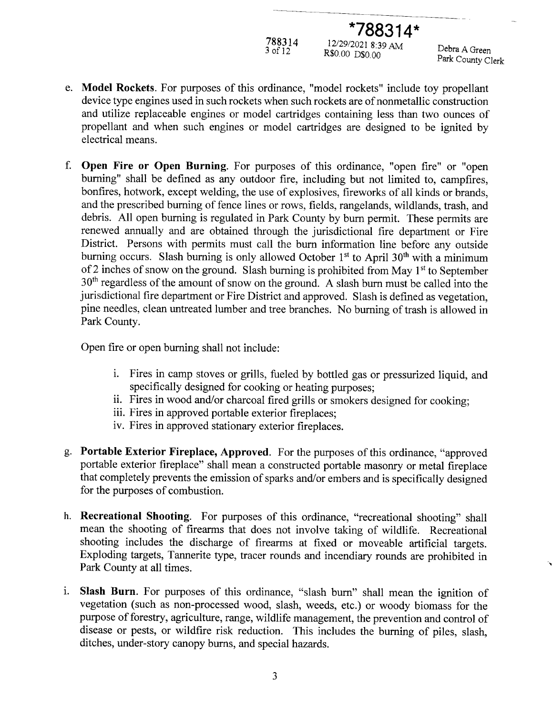788314

12/29/2021 8:39 AM R\$0.00 D\$0.00

\*788314\*

Debra A Green Park County Clerk

- e. Model Rockets. For purposes of this ordinance, "model rockets" include toy propellant device type engines used in such rockets when such rockets are of nonmetallic construction and utilize replaceable engines or model cartridges containing less than two ounces of propellant and when such engines or model cartridges are designed to be ignited by electrical means.
- f. Open Fire or Open Burning. For purposes of this ordinance, "open fire" or "open burning" shall be defined as any outdoor fire, including but not limited to, campfires, bonfires, hotwork, except welding, the use of explosives, fireworks of all kinds or brands, and the prescribed burning of fence lines or rows, fields, rangelands, wildlands, trash, and debris. All open burning is regulated in Park County by burn permit. These permits are renewed annually and are obtained through the jurisdictional fire department or Fire District. Persons with permits must call the burn information line before any outside burning occurs. Slash burning is only allowed October 1<sup>st</sup> to April 30<sup>th</sup> with a minimum of 2 inches of snow on the ground. Slash burning is prohibited from May 1<sup>st</sup> to September 30<sup>th</sup> regardless of the amount of snow on the ground. A slash burn must be called into the jurisdictional fire department or Fire District and approved. Slash is defined as vegetation, pine needles, clean untreated lumber and tree branches. No burning of trash is allowed in Park County.

Open fire or open burning shall not include:

- i. Fires in camp stoves or grills, fueled by bottled gas or pressurized liquid, and specifically designed for cooking or heating purposes;
- ii. Fires in wood and/or charcoal fired grills or smokers designed for cooking;
- iii. Fires in approved portable exterior fireplaces;
- iv. Fires in approved stationary exterior fireplaces.
- g. Portable Exterior Fireplace, Approved. For the purposes of this ordinance, "approved portable exterior fireplace" shall mean a constructed portable masonry or metal fireplace that completely prevents the emission of sparks and/or embers and is specifically designed for the purposes of combustion.
- h. Recreational Shooting. For purposes of this ordinance, "recreational shooting" shall mean the shooting of firearms that does not involve taking of wildlife. Recreational shooting includes the discharge of firearms at fixed or moveable artificial targets. Exploding targets, Tannerite type, tracer rounds and incendiary rounds are prohibited in Park County at all times.
- i. Slash Burn. For purposes of this ordinance, "slash burn" shall mean the ignition of vegetation (such as non-processed wood, slash, weeds, etc.) or woody biomass for the purpose of forestry, agriculture, range, wildlife management, the prevention and control of disease or pests, or wildfire risk reduction. This includes the burning of piles, slash, ditches, under-story canopy burns, and special hazards.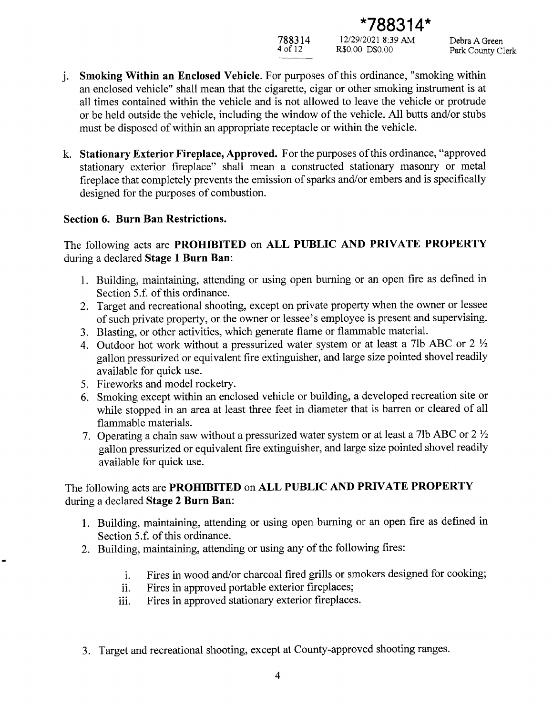788314

12/29/2021 8:39 AM R\$0.00 D\$0.00

\*788314\*

Debra A Green Park County Clerk

- *i.* Smoking Within an Enclosed Vehicle. For purposes of this ordinance, "smoking within an enclosed vehicle" shall mean that the cigarette, cigar or other smoking instrument is at all times contained within the vehicle and is not allowed to leave the vehicle or protrude or be held outside the vehicle, including the window of the vehicle. All butts and/or stubs must be disposed of within an appropriate receptacle or within the vehicle.
- k. Stationary Exterior Fireplace, Approved. For the purposes of this ordinance, "approved stationary exterior fireplace" shall mean a constructed stationary masonry or metal fireplace that completely prevents the emission of sparks and/or embers and is specifically designed for the purposes of combustion.

## **Section 6. Burn Ban Restrictions.**

The following acts are **PROHIBITED** on ALL PUBLIC AND PRIVATE PROPERTY during a declared Stage 1 Burn Ban:

- 1. Building, maintaining, attending or using open burning or an open fire as defined in Section 5.f. of this ordinance.
- 2. Target and recreational shooting, except on private property when the owner or lessee of such private property, or the owner or lessee's employee is present and supervising.
- 3. Blasting, or other activities, which generate flame or flammable material.
- 4. Outdoor hot work without a pressurized water system or at least a 7lb ABC or  $2\frac{1}{2}$ gallon pressurized or equivalent fire extinguisher, and large size pointed shovel readily available for quick use.
- 5. Fireworks and model rocketry.
- 6. Smoking except within an enclosed vehicle or building, a developed recreation site or while stopped in an area at least three feet in diameter that is barren or cleared of all flammable materials.
- 7. Operating a chain saw without a pressurized water system or at least a 7lb ABC or  $2\frac{1}{2}$ gallon pressurized or equivalent fire extinguisher, and large size pointed shovel readily available for quick use.

# The following acts are PROHIBITED on ALL PUBLIC AND PRIVATE PROPERTY during a declared Stage 2 Burn Ban:

- 1. Building, maintaining, attending or using open burning or an open fire as defined in Section 5.f. of this ordinance.
- 2. Building, maintaining, attending or using any of the following fires:
	- Fires in wood and/or charcoal fired grills or smokers designed for cooking;  $\mathbf{i}$ .
	- Fires in approved portable exterior fireplaces; ii.
	- Fires in approved stationary exterior fireplaces. iii.
- 3. Target and recreational shooting, except at County-approved shooting ranges.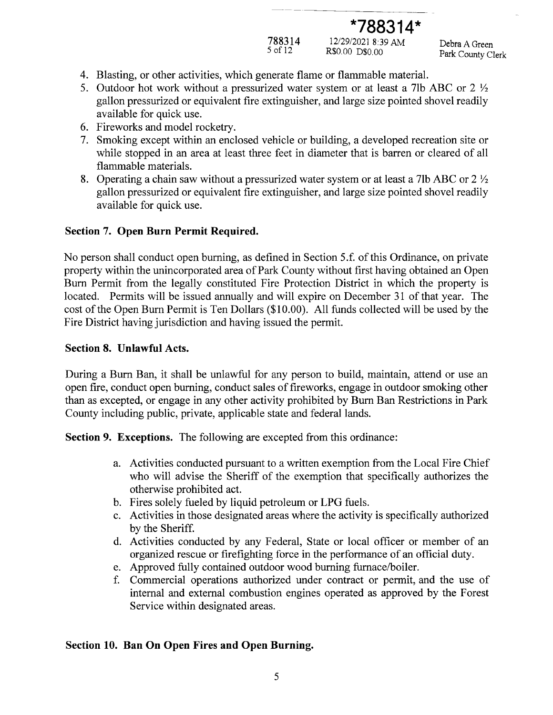# $*788314*$

788314

12/29/2021 8:39 AM R\$0.00 D\$0.00

Debra A Green Park County Clerk

- 4. Blasting, or other activities, which generate flame or flammable material.
- 5. Outdoor hot work without a pressurized water system or at least a 7lb ABC or 2  $\frac{1}{2}$ gallon pressurized or equivalent fire extinguisher, and large size pointed shovel readily available for quick use.
- 6. Fireworks and model rocketry.
- 7. Smoking except within an enclosed vehicle or building, a developed recreation site or while stopped in an area at least three feet in diameter that is barren or cleared of all flammable materials.
- 8. Operating a chain saw without a pressurized water system or at least a 7lb ABC or 2  $\frac{1}{2}$ gallon pressurized or equivalent fire extinguisher, and large size pointed shovel readily available for quick use.

# Section 7. Open Burn Permit Required.

No person shall conduct open burning, as defined in Section 5.f. of this Ordinance, on private property within the unincorporated area of Park County without first having obtained an Open Burn Permit from the legally constituted Fire Protection District in which the property is located. Permits will be issued annually and will expire on December 31 of that year. The cost of the Open Burn Permit is Ten Dollars (\$10.00). All funds collected will be used by the Fire District having jurisdiction and having issued the permit.

## Section 8. Unlawful Acts.

During a Burn Ban, it shall be unlawful for any person to build, maintain, attend or use an open fire, conduct open burning, conduct sales of fireworks, engage in outdoor smoking other than as excepted, or engage in any other activity prohibited by Burn Ban Restrictions in Park County including public, private, applicable state and federal lands.

**Section 9. Exceptions.** The following are excepted from this ordinance:

- a. Activities conducted pursuant to a written exemption from the Local Fire Chief who will advise the Sheriff of the exemption that specifically authorizes the otherwise prohibited act.
- b. Fires solely fueled by liquid petroleum or LPG fuels.
- c. Activities in those designated areas where the activity is specifically authorized by the Sheriff.
- d. Activities conducted by any Federal, State or local officer or member of an organized rescue or firefighting force in the performance of an official duty.
- e. Approved fully contained outdoor wood burning furnace/boiler.
- f. Commercial operations authorized under contract or permit, and the use of internal and external combustion engines operated as approved by the Forest Service within designated areas.

## Section 10. Ban On Open Fires and Open Burning.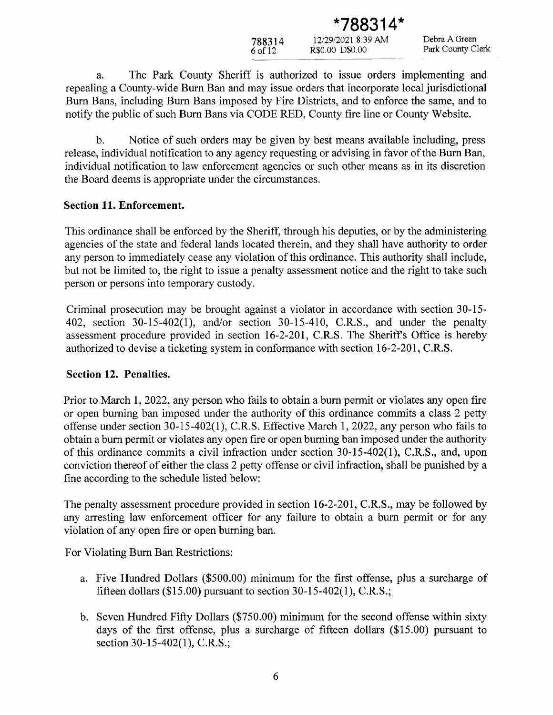| 12/29/2021 8:39 AM |
|--------------------|
| R\$0.00 D\$0.00    |
|                    |

<sup>\*</sup>788314

Debra A Green Park County Clerk

The Park County Sheriff is authorized to issue orders implementing and a. repealing a County-wide Burn Ban and may issue orders that incorporate local jurisdictional Burn Bans, including Burn Bans imposed by Fire Districts, and to enforce the same, and to notify the public of such Burn Bans via CODE RED, County fire line or County Website.

Notice of such orders may be given by best means available including, press  $\mathbf{b}$ . release, individual notification to any agency requesting or advising in favor of the Burn Ban, individual notification to law enforcement agencies or such other means as in its discretion the Board deems is appropriate under the circumstances.

#### **Section 11. Enforcement.**

This ordinance shall be enforced by the Sheriff, through his deputies, or by the administering agencies of the state and federal lands located therein, and they shall have authority to order any person to immediately cease any violation of this ordinance. This authority shall include, but not be limited to, the right to issue a penalty assessment notice and the right to take such person or persons into temporary custody.

Criminal prosecution may be brought against a violator in accordance with section 30-15-402, section 30-15-402(1), and/or section 30-15-410, C.R.S., and under the penalty assessment procedure provided in section 16-2-201, C.R.S. The Sheriff's Office is hereby authorized to devise a ticketing system in conformance with section 16-2-201, C.R.S.

#### Section 12. Penalties.

Prior to March 1, 2022, any person who fails to obtain a burn permit or violates any open fire or open burning ban imposed under the authority of this ordinance commits a class 2 petty offense under section 30-15-402(1), C.R.S. Effective March 1, 2022, any person who fails to obtain a burn permit or violates any open fire or open burning ban imposed under the authority of this ordinance commits a civil infraction under section  $30-15-402(1)$ , C.R.S., and, upon conviction thereof of either the class 2 petty offense or civil infraction, shall be punished by a fine according to the schedule listed below:

The penalty assessment procedure provided in section 16-2-201, C.R.S., may be followed by any arresting law enforcement officer for any failure to obtain a burn permit or for any violation of any open fire or open burning ban.

For Violating Burn Ban Restrictions:

- a. Five Hundred Dollars (\$500.00) minimum for the first offense, plus a surcharge of fifteen dollars (\$15.00) pursuant to section  $30-15-402(1)$ , C.R.S.;
- b. Seven Hundred Fifty Dollars (\$750.00) minimum for the second offense within sixty days of the first offense, plus a surcharge of fifteen dollars (\$15.00) pursuant to section 30-15-402(1), C.R.S.;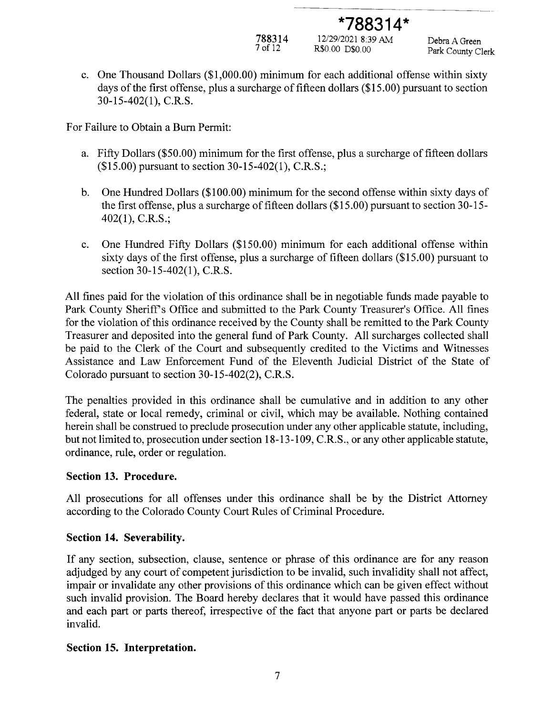788314

12/29/2021 8:39 AM R\$0.00 D\$0.00

\*788314\*

Debra A Green Park County Clerk

c. One Thousand Dollars (\$1,000.00) minimum for each additional offense within sixty days of the first offense, plus a surcharge of fifteen dollars (\$15.00) pursuant to section  $30-15-402(1)$ , C.R.S.

For Failure to Obtain a Burn Permit:

- a. Fifty Dollars (\$50.00) minimum for the first offense, plus a surcharge of fifteen dollars (\$15.00) pursuant to section 30-15-402(1), C.R.S.;
- One Hundred Dollars (\$100.00) minimum for the second offense within sixty days of b. the first offense, plus a surcharge of fifteen dollars (\$15.00) pursuant to section 30-15- $402(1)$ , C.R.S.;
- One Hundred Fifty Dollars (\$150.00) minimum for each additional offense within c. sixty days of the first offense, plus a surcharge of fifteen dollars (\$15.00) pursuant to section 30-15-402(1), C.R.S.

All fines paid for the violation of this ordinance shall be in negotiable funds made payable to Park County Sheriff's Office and submitted to the Park County Treasurer's Office. All fines for the violation of this ordinance received by the County shall be remitted to the Park County Treasurer and deposited into the general fund of Park County. All surcharges collected shall be paid to the Clerk of the Court and subsequently credited to the Victims and Witnesses Assistance and Law Enforcement Fund of the Eleventh Judicial District of the State of Colorado pursuant to section 30-15-402(2), C.R.S.

The penalties provided in this ordinance shall be cumulative and in addition to any other federal, state or local remedy, criminal or civil, which may be available. Nothing contained herein shall be construed to preclude prosecution under any other applicable statute, including, but not limited to, prosecution under section 18-13-109, C.R.S., or any other applicable statute, ordinance, rule, order or regulation.

#### **Section 13. Procedure.**

All prosecutions for all offenses under this ordinance shall be by the District Attorney according to the Colorado County Court Rules of Criminal Procedure.

#### Section 14. Severability.

If any section, subsection, clause, sentence or phrase of this ordinance are for any reason adjudged by any court of competent jurisdiction to be invalid, such invalidity shall not affect, impair or invalidate any other provisions of this ordinance which can be given effect without such invalid provision. The Board hereby declares that it would have passed this ordinance and each part or parts thereof, irrespective of the fact that anyone part or parts be declared invalid.

#### Section 15. Interpretation.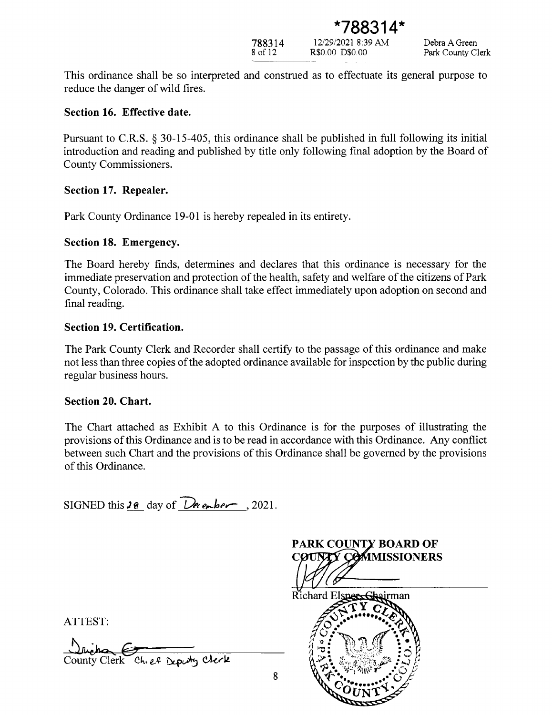

12/29/2021 8:39 AM R\$0.00 D\$0.00

This ordinance shall be so interpreted and construed as to effectuate its general purpose to reduce the danger of wild fires.

#### Section 16. Effective date.

Pursuant to C.R.S. § 30-15-405, this ordinance shall be published in full following its initial introduction and reading and published by title only following final adoption by the Board of County Commissioners.

#### Section 17. Repealer.

Park County Ordinance 19-01 is hereby repealed in its entirety.

## Section 18. Emergency.

The Board hereby finds, determines and declares that this ordinance is necessary for the immediate preservation and protection of the health, safety and welfare of the citizens of Park County, Colorado. This ordinance shall take effect immediately upon adoption on second and final reading.

#### Section 19. Certification.

The Park County Clerk and Recorder shall certify to the passage of this ordinance and make not less than three copies of the adopted ordinance available for inspection by the public during regular business hours.

## **Section 20. Chart.**

The Chart attached as Exhibit A to this Ordinance is for the purposes of illustrating the provisions of this Ordinance and is to be read in accordance with this Ordinance. Any conflict between such Chart and the provisions of this Ordinance shall be governed by the provisions of this Ordinance.

SIGNED this 28 day of  $\overline{\text{December}}$ , 2021.



ATTEST:

Clerk Chief Dearty Clerk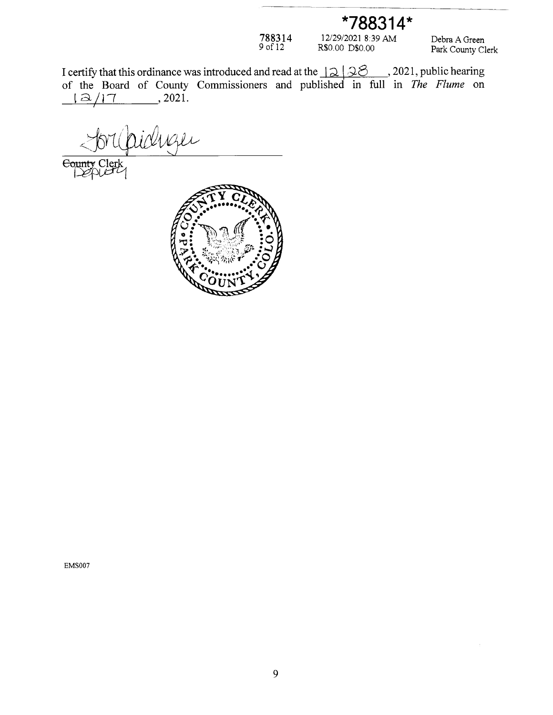\*788314\*

 $788314$ <br>9 of 12

 $\begin{array}{c} 12/29/2021 \ 8.39 \ \text{AM} \\ \text{R\$0.00 \ \text{D\$0.00} \end{array}$ 

Debra A Green Park County Clerk

I certify that this ordinance was introduced and read at the  $\sqrt{2}$   $\sqrt{2}$   $\sqrt{2}$ , 2021, public hearing of the Board of County Commissioners and published in full in *The Flume* on  $, 2021.$  $\Delta/17$ 

idnger

 $\Theta$ 



**EMS007**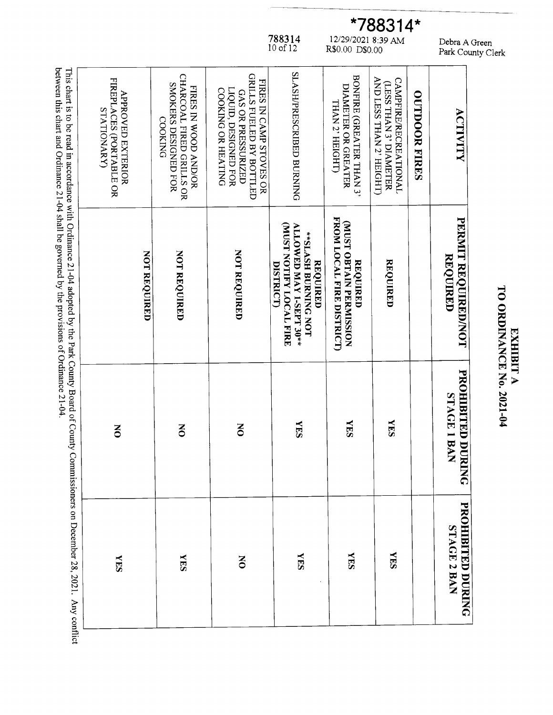This chart is to be read in accordance with Ordinance 21-04 adopted by the Park County Board of County Commissioners on December 28, 2021. Any conflict SLASH/PRESCRIBED BURNING CHARCOAL FIRED GRILLS OR GRILLS FUELED BY BOTTLED BONFIRE (GREATER THAN 3) FIREPLACES (PORTABLE OR AND LESS THAN 2' HEIGHT) **CAMPFIRE/RECREATIONAL** FIRES IN CAMP STOVES OR SMOKERS DESIGNED FOR (LESS THAN 3' DIAMETER DIAMETER OR GREATER FIRES IN WOOD AND/OR LIQUID, DESIGNED FOR COOKING OR HEATING GAS OR PRESSURIZED **APROVED EXTERIOR OUTDOOR FIRES** THAN 2' HEIGHT) **STATIONARY** ACTIVITY **COOKING** FROM LOCAL FIRE DISTRICT) PERMIT REQUIRED/NOT MUST OBTAIN PERMISSION **MUST NOTIFY LOCAL FIRE** ALLOWED MAY 1-SEPT 30\*\* \*\*SLASH BURNING NOT NOT REQUIRED NOT REQUIRED NOT REQUIRED REQUIRED REQUIRED REQUIRED REQUIRED **DISTRICT** PROHIBITED DURING STAGE 1 BAN **YES NES KES**  $\overline{5}$  $\overline{5}$  $\overline{6}$ PROHIBITED DURING STAGE 2 BAN **NES NES NES SHA KES**  $\overline{5}$ 

between this chart and Ordinance 21-04 shall be governed by the provisions of Ordinance 21-04.

788314<br>10 of 12

Debra A Green<br>Park County Clerk

**TO ORDINANCE No. 2021-04 EXHIBIT A** 

\*788314\*

 $\frac{12/29/20218:39 \text{ AM}}{R\$0.00 \text{ D\$0.00}}$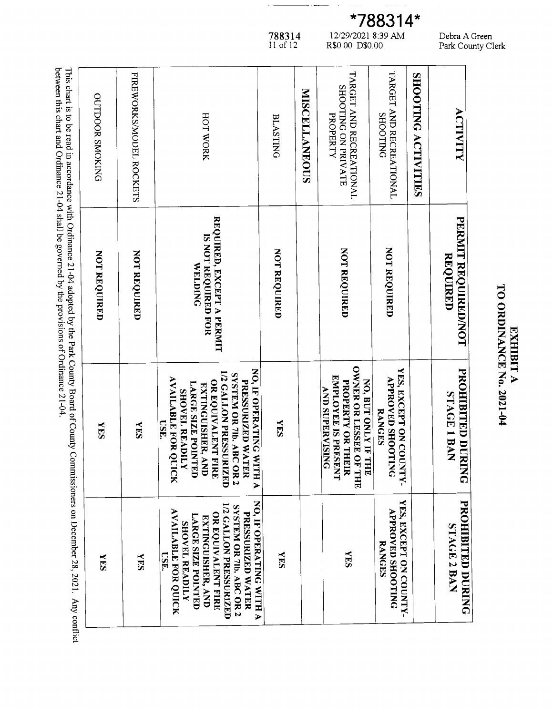| <b>OUTDOOR SMOKING</b> | FIREWORKS/MODEL ROCKETS | HOT WORK                                                                                                                                                                                                                                               | <b>BLASTING</b> | <b>MISCELLANEOUS</b> | TARGET AND RECREATIONAL<br>SHOOTING ON PRIVATE<br>PROPERTY                                                                    | TARGET AND RECREATIONAL<br><b>SHOOTING</b>                         | SHOOTING ACTIVITIES | <b>ACTIVITY</b>                  |
|------------------------|-------------------------|--------------------------------------------------------------------------------------------------------------------------------------------------------------------------------------------------------------------------------------------------------|-----------------|----------------------|-------------------------------------------------------------------------------------------------------------------------------|--------------------------------------------------------------------|---------------------|----------------------------------|
| NOT REQUIRED           | <b>NOT REQUIRED</b>     | REQUIRED, EXCEPT A PERMIT<br>IS NOT REQUIRED FOR<br><b>WELDING</b>                                                                                                                                                                                     | NOT REQUIRED    |                      | NOT REQUIRED                                                                                                                  | NOT REQUIRED                                                       |                     | PERMIT REQUIRED/NOT<br>REQUIRED  |
| <b>SHIA</b>            | <b>NES</b>              | NO, IF OPERATING WITH A<br><b>1/2 GALLON PRESSURIZED</b><br>SYSTEM OR 71b. ABC OR 2<br><b>AVAILABLE FOR QUICK</b><br>PRESSURIZED WATER<br>OR EQUIVALENT FIRE<br>LARGE SIZE POINTED<br>EXTINGUISHER, AND<br><b>SHOVEL READILY</b><br><b>USE</b> .       | <b>NES</b>      |                      | <b>OWNER OR LESSEE OF</b><br>EMPLOYEE IS PRESENT<br>NO, BUT ONLY IF THE<br>PROPERTY OR THEIR<br><b>AND SUPERVISING</b><br>THT | VES, EXCEPT ON COUNTY-<br><b>APROVED SHOOTING</b><br><b>RANGES</b> |                     | PROHIBITED DURING<br>STAGE I BAN |
| <b>NES</b>             | <b>NES</b>              | NO, IF OPERATING WITH A<br><b>ILO GALLON PRESSURIZED</b><br>SYSTEM OR 7lb. ABC OR 2<br><b>AVAILABLE FOR QUICK</b><br><b>PRESSURIZED WATER</b><br>OR EQUIVALENT FIRE<br><b>LARGE SIZE POINTED</b><br>EXTINGUISHER, AND<br><b>SHOVEL READILY</b><br>USE. | <b>NES</b>      |                      | <b>NES</b>                                                                                                                    | VES, EXCEPT ON COUNTY-<br><b>APROVED SHOOTING</b><br><b>RANGES</b> |                     | PROHIBITED DURING<br>STAGE 2 BAN |

This chart is to be read in accordance with Ordinance 21-04 adopted by the Park County Board of between this chart and Ordinance 21-04 shall be governed by the provisions of Ordinance 21-04.  $\mathbf{d}$ 

Debra A Green<br>Park County Clerk

\*788314\*  $\begin{array}{c} 12/29/2021 \ 8.39 \ \text{AM} \\ \text{R\$0.00 \ \text{D\$0.00} \end{array}$ 

TO ORDINANCE No. 2021-04 **ЕХНІВІТ А** 

788314<br>11 of 12